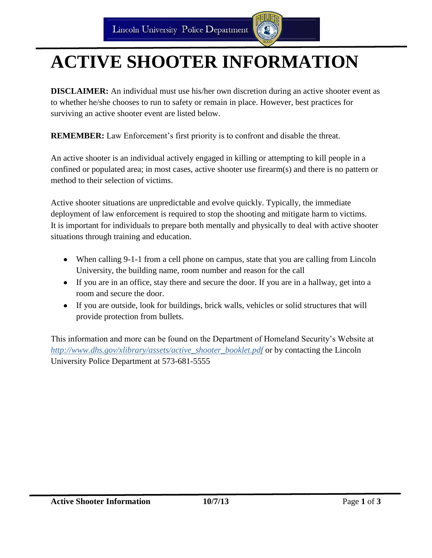# **ACTIVE SHOOTER INFORMATION**

**DISCLAIMER:** An individual must use his/her own discretion during an active shooter event as to whether he/she chooses to run to safety or remain in place. However, best practices for surviving an active shooter event are listed below.

**REMEMBER:** Law Enforcement's first priority is to confront and disable the threat.

An active shooter is an individual actively engaged in killing or attempting to kill people in a confined or populated area; in most cases, active shooter use firearm(s) and there is no pattern or method to their selection of victims.

Active shooter situations are unpredictable and evolve quickly. Typically, the immediate deployment of law enforcement is required to stop the shooting and mitigate harm to victims. It is important for individuals to prepare both mentally and physically to deal with active shooter situations through training and education.

- When calling 9-1-1 from a cell phone on campus, state that you are calling from Lincoln University, the building name, room number and reason for the call
- If you are in an office, stay there and secure the door. If you are in a hallway, get into a room and secure the door.
- If you are outside, look for buildings, brick walls, vehicles or solid structures that will provide protection from bullets.

This information and more can be found on the Department of Homeland Security's Website at *[http://www.dhs.gov/xlibrary/assets/active\\_shooter\\_booklet.pdf](http://www.dhs.gov/xlibrary/assets/active_shooter_booklet.pdf)* or by contacting the Lincoln University Police Department at 573-681-5555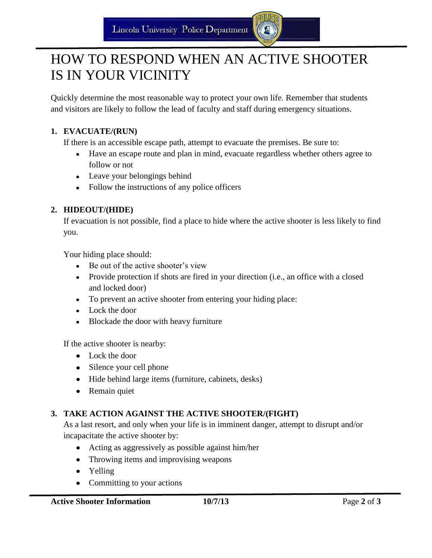# HOW TO RESPOND WHEN AN ACTIVE SHOOTER IS IN YOUR VICINITY

Quickly determine the most reasonable way to protect your own life. Remember that students and visitors are likely to follow the lead of faculty and staff during emergency situations.

#### **1. EVACUATE/(RUN)**

If there is an accessible escape path, attempt to evacuate the premises. Be sure to:

- Have an escape route and plan in mind, evacuate regardless whether others agree to follow or not
- Leave your belongings behind
- Follow the instructions of any police officers

#### **2. HIDEOUT/(HIDE)**

If evacuation is not possible, find a place to hide where the active shooter is less likely to find you.

Your hiding place should:

- Be out of the active shooter's view
- Provide protection if shots are fired in your direction (i.e., an office with a closed and locked door)
- To prevent an active shooter from entering your hiding place:
- Lock the door
- Blockade the door with heavy furniture

If the active shooter is nearby:

- Lock the door
- Silence your cell phone
- Hide behind large items (furniture, cabinets, desks)
- Remain quiet

#### **3. TAKE ACTION AGAINST THE ACTIVE SHOOTER/(FIGHT)**

As a last resort, and only when your life is in imminent danger, attempt to disrupt and/or incapacitate the active shooter by:

- Acting as aggressively as possible against him/her
- Throwing items and improvising weapons
- Yelling
- Committing to your actions